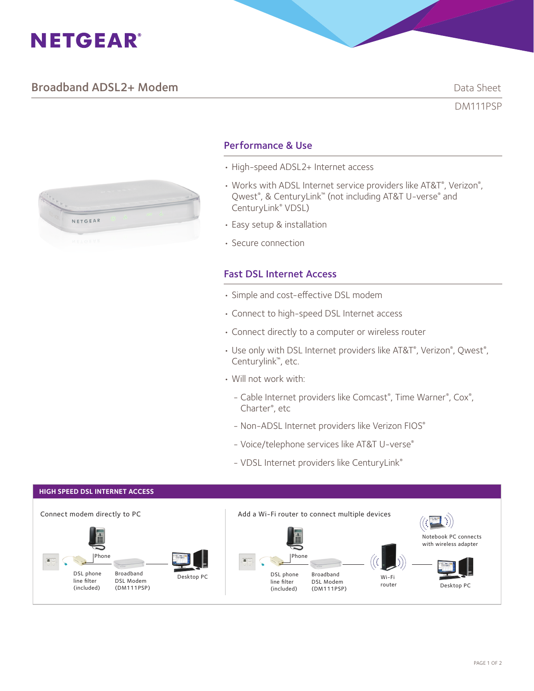# **NETGEAR®**

# **Broadband ADSL2+ Modem Data Sheet** Data Sheet

DM111PSP



# Performance & Use

- High-speed ADSL2+ Internet access
- Works with ADSL Internet service providers like AT&T®, Verizon®, Qwest®, & CenturyLink™ (not including AT&T U-verse® and CenturyLink® VDSL)
- Easy setup & installation
- Secure connection

# Fast DSL Internet Access

- Simple and cost-effective DSL modem
- Connect to high-speed DSL Internet access
- Connect directly to a computer or wireless router
- Use only with DSL Internet providers like AT&T®, Verizon®, Qwest®, Centurylink™, etc.
- Will not work with:
	- Cable Internet providers like Comcast®, Time Warner®, Cox®, Charter® , etc
	- Non-ADSL Internet providers like Verizon FIOS®
	- Voice/telephone services like AT&T U-verse®
	- VDSL Internet providers like CenturyLink®

#### **HIGH SPEED DSL INTERNET ACCESS**